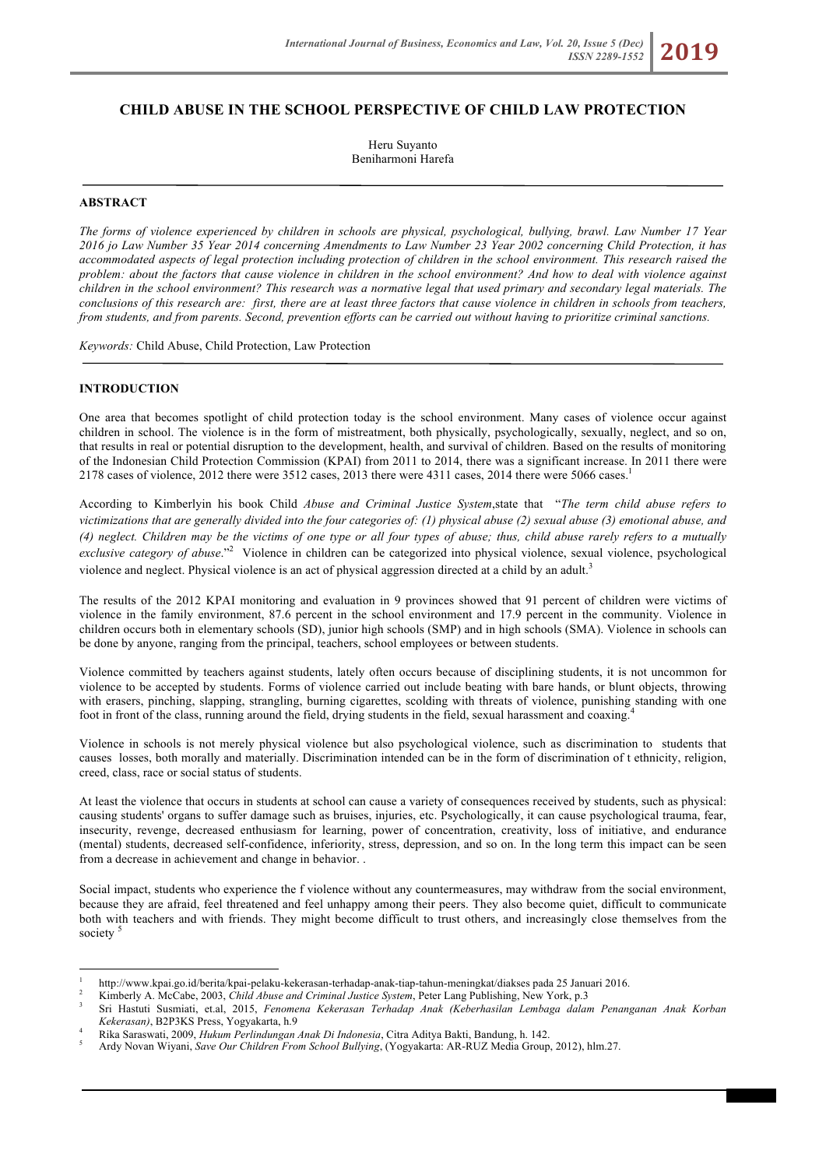# **CHILD ABUSE IN THE SCHOOL PERSPECTIVE OF CHILD LAW PROTECTION**

Heru Suyanto Beniharmoni Harefa

### **ABSTRACT**

*The forms of violence experienced by children in schools are physical, psychological, bullying, brawl. Law Number 17 Year 2016 jo Law Number 35 Year 2014 concerning Amendments to Law Number 23 Year 2002 concerning Child Protection, it has accommodated aspects of legal protection including protection of children in the school environment. This research raised the problem: about the factors that cause violence in children in the school environment? And how to deal with violence against children in the school environment? This research was a normative legal that used primary and secondary legal materials. The conclusions of this research are: first, there are at least three factors that cause violence in children in schools from teachers, from students, and from parents. Second, prevention efforts can be carried out without having to prioritize criminal sanctions.*

*Keywords:* Child Abuse, Child Protection, Law Protection

### **INTRODUCTION**

One area that becomes spotlight of child protection today is the school environment. Many cases of violence occur against children in school. The violence is in the form of mistreatment, both physically, psychologically, sexually, neglect, and so on, that results in real or potential disruption to the development, health, and survival of children. Based on the results of monitoring of the Indonesian Child Protection Commission (KPAI) from 2011 to 2014, there was a significant increase. In 2011 there were 2178 cases of violence, 2012 there were 3512 cases, 2013 there were 4311 cases, 2014 there were 5066 cases.<sup>1</sup>

According to Kimberlyin his book Child *Abuse and Criminal Justice System*,state that "*The term child abuse refers to victimizations that are generally divided into the four categories of: (1) physical abuse (2) sexual abuse (3) emotional abuse, and (4) neglect. Children may be the victims of one type or all four types of abuse; thus, child abuse rarely refers to a mutually*  exclusive category of abuse.<sup>"2</sup> Violence in children can be categorized into physical violence, sexual violence, psychological violence and neglect. Physical violence is an act of physical aggression directed at a child by an adult.<sup>3</sup>

The results of the 2012 KPAI monitoring and evaluation in 9 provinces showed that 91 percent of children were victims of violence in the family environment, 87.6 percent in the school environment and 17.9 percent in the community. Violence in children occurs both in elementary schools (SD), junior high schools (SMP) and in high schools (SMA). Violence in schools can be done by anyone, ranging from the principal, teachers, school employees or between students.

Violence committed by teachers against students, lately often occurs because of disciplining students, it is not uncommon for violence to be accepted by students. Forms of violence carried out include beating with bare hands, or blunt objects, throwing with erasers, pinching, slapping, strangling, burning cigarettes, scolding with threats of violence, punishing standing with one foot in front of the class, running around the field, drying students in the field, sexual harassment and coaxing.<sup>4</sup>

Violence in schools is not merely physical violence but also psychological violence, such as discrimination to students that causes losses, both morally and materially. Discrimination intended can be in the form of discrimination of t ethnicity, religion, creed, class, race or social status of students.

At least the violence that occurs in students at school can cause a variety of consequences received by students, such as physical: causing students' organs to suffer damage such as bruises, injuries, etc. Psychologically, it can cause psychological trauma, fear, insecurity, revenge, decreased enthusiasm for learning, power of concentration, creativity, loss of initiative, and endurance (mental) students, decreased self-confidence, inferiority, stress, depression, and so on. In the long term this impact can be seen from a decrease in achievement and change in behavior. .

Social impact, students who experience the f violence without any countermeasures, may withdraw from the social environment, because they are afraid, feel threatened and feel unhappy among their peers. They also become quiet, difficult to communicate both with teachers and with friends. They might become difficult to trust others, and increasingly close themselves from the society<sup>5</sup>

 <sup>1</sup> http://www.kpai.go.id/berita/kpai-pelaku-kekerasan-terhadap-anak-tiap-tahun-meningkat/diakses pada 25 Januari 2016.

<sup>2</sup> Kimberly A. McCabe, 2003, *Child Abuse and Criminal Justice System*, Peter Lang Publishing, New York, p.3

<sup>3</sup> Sri Hastuti Susmiati, et.al, 2015, *Fenomena Kekerasan Terhadap Anak (Keberhasilan Lembaga dalam Penanganan Anak Korban Kekerasan)*, B2P3KS Press, Yogyakarta, h.9

<sup>4</sup> Rika Saraswati, 2009, *Hukum Perlindungan Anak Di Indonesia*, Citra Aditya Bakti, Bandung, h. 142. <sup>5</sup> Ardy Novan Wiyani, *Save Our Children From School Bullying*, (Yogyakarta: AR-RUZ Media Group, 2012), hlm.27.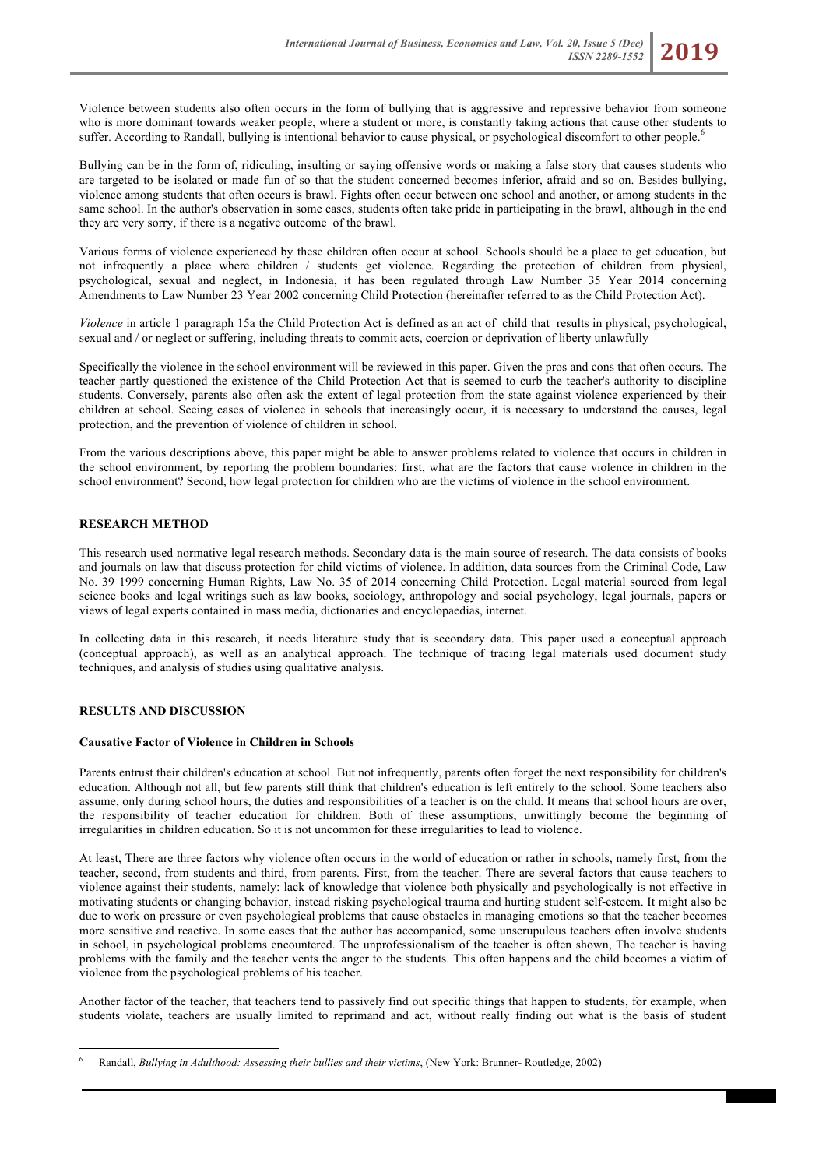Violence between students also often occurs in the form of bullying that is aggressive and repressive behavior from someone who is more dominant towards weaker people, where a student or more, is constantly taking actions that cause other students to suffer. According to Randall, bullying is intentional behavior to cause physical, or psychological discomfort to other people.<sup>6</sup>

Bullying can be in the form of, ridiculing, insulting or saying offensive words or making a false story that causes students who are targeted to be isolated or made fun of so that the student concerned becomes inferior, afraid and so on. Besides bullying, violence among students that often occurs is brawl. Fights often occur between one school and another, or among students in the same school. In the author's observation in some cases, students often take pride in participating in the brawl, although in the end they are very sorry, if there is a negative outcome of the brawl.

Various forms of violence experienced by these children often occur at school. Schools should be a place to get education, but not infrequently a place where children / students get violence. Regarding the protection of children from physical, psychological, sexual and neglect, in Indonesia, it has been regulated through Law Number 35 Year 2014 concerning Amendments to Law Number 23 Year 2002 concerning Child Protection (hereinafter referred to as the Child Protection Act).

*Violence* in article 1 paragraph 15a the Child Protection Act is defined as an act of child that results in physical, psychological, sexual and / or neglect or suffering, including threats to commit acts, coercion or deprivation of liberty unlawfully

Specifically the violence in the school environment will be reviewed in this paper. Given the pros and cons that often occurs. The teacher partly questioned the existence of the Child Protection Act that is seemed to curb the teacher's authority to discipline students. Conversely, parents also often ask the extent of legal protection from the state against violence experienced by their children at school. Seeing cases of violence in schools that increasingly occur, it is necessary to understand the causes, legal protection, and the prevention of violence of children in school.

From the various descriptions above, this paper might be able to answer problems related to violence that occurs in children in the school environment, by reporting the problem boundaries: first, what are the factors that cause violence in children in the school environment? Second, how legal protection for children who are the victims of violence in the school environment.

# **RESEARCH METHOD**

This research used normative legal research methods. Secondary data is the main source of research. The data consists of books and journals on law that discuss protection for child victims of violence. In addition, data sources from the Criminal Code, Law No. 39 1999 concerning Human Rights, Law No. 35 of 2014 concerning Child Protection. Legal material sourced from legal science books and legal writings such as law books, sociology, anthropology and social psychology, legal journals, papers or views of legal experts contained in mass media, dictionaries and encyclopaedias, internet.

In collecting data in this research, it needs literature study that is secondary data. This paper used a conceptual approach (conceptual approach), as well as an analytical approach. The technique of tracing legal materials used document study techniques, and analysis of studies using qualitative analysis.

# **RESULTS AND DISCUSSION**

#### **Causative Factor of Violence in Children in Schools**

Parents entrust their children's education at school. But not infrequently, parents often forget the next responsibility for children's education. Although not all, but few parents still think that children's education is left entirely to the school. Some teachers also assume, only during school hours, the duties and responsibilities of a teacher is on the child. It means that school hours are over, the responsibility of teacher education for children. Both of these assumptions, unwittingly become the beginning of irregularities in children education. So it is not uncommon for these irregularities to lead to violence.

At least, There are three factors why violence often occurs in the world of education or rather in schools, namely first, from the teacher, second, from students and third, from parents. First, from the teacher. There are several factors that cause teachers to violence against their students, namely: lack of knowledge that violence both physically and psychologically is not effective in motivating students or changing behavior, instead risking psychological trauma and hurting student self-esteem. It might also be due to work on pressure or even psychological problems that cause obstacles in managing emotions so that the teacher becomes more sensitive and reactive. In some cases that the author has accompanied, some unscrupulous teachers often involve students in school, in psychological problems encountered. The unprofessionalism of the teacher is often shown, The teacher is having problems with the family and the teacher vents the anger to the students. This often happens and the child becomes a victim of violence from the psychological problems of his teacher.

Another factor of the teacher, that teachers tend to passively find out specific things that happen to students, for example, when students violate, teachers are usually limited to reprimand and act, without really finding out what is the basis of student

 <sup>6</sup> Randall, *Bullying in Adulthood: Assessing their bullies and their victims*, (New York: Brunner- Routledge, 2002)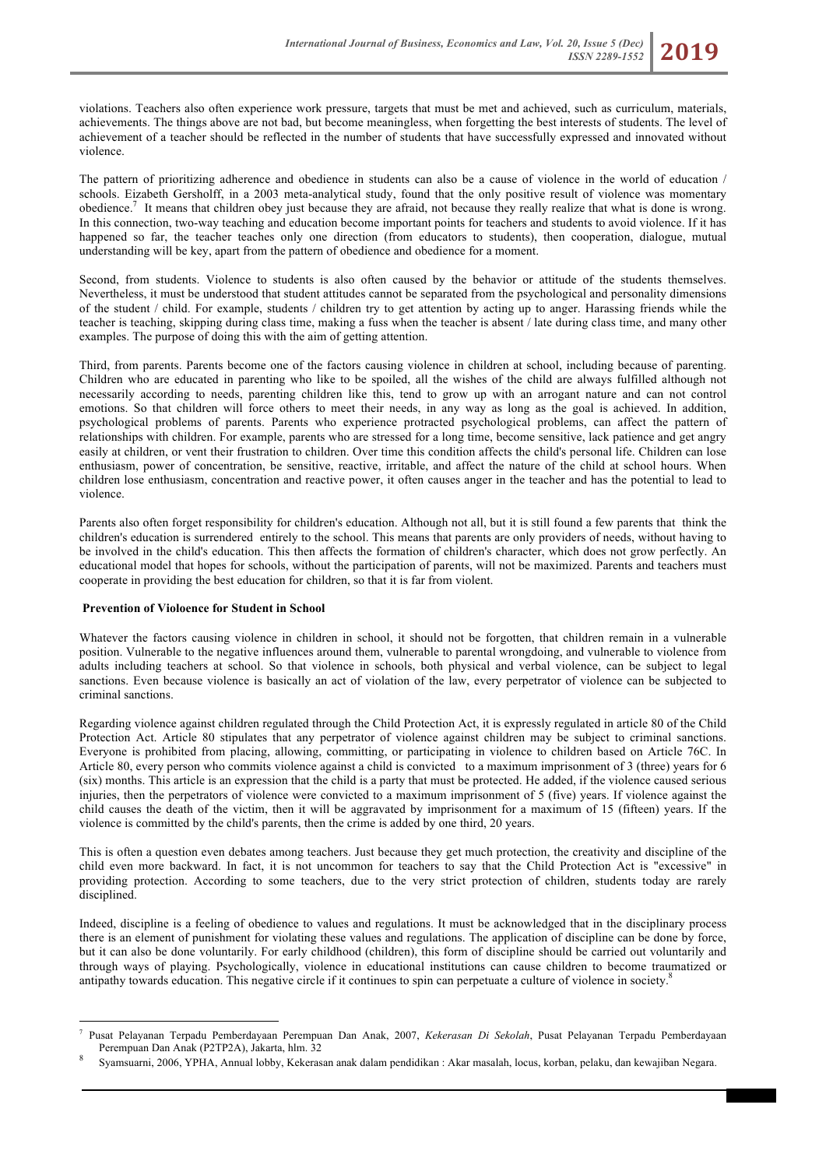violations. Teachers also often experience work pressure, targets that must be met and achieved, such as curriculum, materials, achievements. The things above are not bad, but become meaningless, when forgetting the best interests of students. The level of achievement of a teacher should be reflected in the number of students that have successfully expressed and innovated without violence.

The pattern of prioritizing adherence and obedience in students can also be a cause of violence in the world of education / schools. Eizabeth Gersholff, in a 2003 meta-analytical study, found that the only positive result of violence was momentary obedience.7 It means that children obey just because they are afraid, not because they really realize that what is done is wrong. In this connection, two-way teaching and education become important points for teachers and students to avoid violence. If it has happened so far, the teacher teaches only one direction (from educators to students), then cooperation, dialogue, mutual understanding will be key, apart from the pattern of obedience and obedience for a moment.

Second, from students. Violence to students is also often caused by the behavior or attitude of the students themselves. Nevertheless, it must be understood that student attitudes cannot be separated from the psychological and personality dimensions of the student / child. For example, students / children try to get attention by acting up to anger. Harassing friends while the teacher is teaching, skipping during class time, making a fuss when the teacher is absent / late during class time, and many other examples. The purpose of doing this with the aim of getting attention.

Third, from parents. Parents become one of the factors causing violence in children at school, including because of parenting. Children who are educated in parenting who like to be spoiled, all the wishes of the child are always fulfilled although not necessarily according to needs, parenting children like this, tend to grow up with an arrogant nature and can not control emotions. So that children will force others to meet their needs, in any way as long as the goal is achieved. In addition, psychological problems of parents. Parents who experience protracted psychological problems, can affect the pattern of relationships with children. For example, parents who are stressed for a long time, become sensitive, lack patience and get angry easily at children, or vent their frustration to children. Over time this condition affects the child's personal life. Children can lose enthusiasm, power of concentration, be sensitive, reactive, irritable, and affect the nature of the child at school hours. When children lose enthusiasm, concentration and reactive power, it often causes anger in the teacher and has the potential to lead to violence.

Parents also often forget responsibility for children's education. Although not all, but it is still found a few parents that think the children's education is surrendered entirely to the school. This means that parents are only providers of needs, without having to be involved in the child's education. This then affects the formation of children's character, which does not grow perfectly. An educational model that hopes for schools, without the participation of parents, will not be maximized. Parents and teachers must cooperate in providing the best education for children, so that it is far from violent.

# **Prevention of Violoence for Student in School**

Whatever the factors causing violence in children in school, it should not be forgotten, that children remain in a vulnerable position. Vulnerable to the negative influences around them, vulnerable to parental wrongdoing, and vulnerable to violence from adults including teachers at school. So that violence in schools, both physical and verbal violence, can be subject to legal sanctions. Even because violence is basically an act of violation of the law, every perpetrator of violence can be subjected to criminal sanctions.

Regarding violence against children regulated through the Child Protection Act, it is expressly regulated in article 80 of the Child Protection Act. Article 80 stipulates that any perpetrator of violence against children may be subject to criminal sanctions. Everyone is prohibited from placing, allowing, committing, or participating in violence to children based on Article 76C. In Article 80, every person who commits violence against a child is convicted to a maximum imprisonment of 3 (three) years for 6 (six) months. This article is an expression that the child is a party that must be protected. He added, if the violence caused serious injuries, then the perpetrators of violence were convicted to a maximum imprisonment of 5 (five) years. If violence against the child causes the death of the victim, then it will be aggravated by imprisonment for a maximum of 15 (fifteen) years. If the violence is committed by the child's parents, then the crime is added by one third, 20 years.

This is often a question even debates among teachers. Just because they get much protection, the creativity and discipline of the child even more backward. In fact, it is not uncommon for teachers to say that the Child Protection Act is "excessive" in providing protection. According to some teachers, due to the very strict protection of children, students today are rarely disciplined.

Indeed, discipline is a feeling of obedience to values and regulations. It must be acknowledged that in the disciplinary process there is an element of punishment for violating these values and regulations. The application of discipline can be done by force, but it can also be done voluntarily. For early childhood (children), this form of discipline should be carried out voluntarily and through ways of playing. Psychologically, violence in educational institutions can cause children to become traumatized or antipathy towards education. This negative circle if it continues to spin can perpetuate a culture of violence in society.<sup>8</sup>

 <sup>7</sup> Pusat Pelayanan Terpadu Pemberdayaan Perempuan Dan Anak, 2007, *Kekerasan Di Sekolah*, Pusat Pelayanan Terpadu Pemberdayaan

Syamsuarni, 2006, YPHA, Annual lobby, Kekerasan anak dalam pendidikan : Akar masalah, locus, korban, pelaku, dan kewajiban Negara.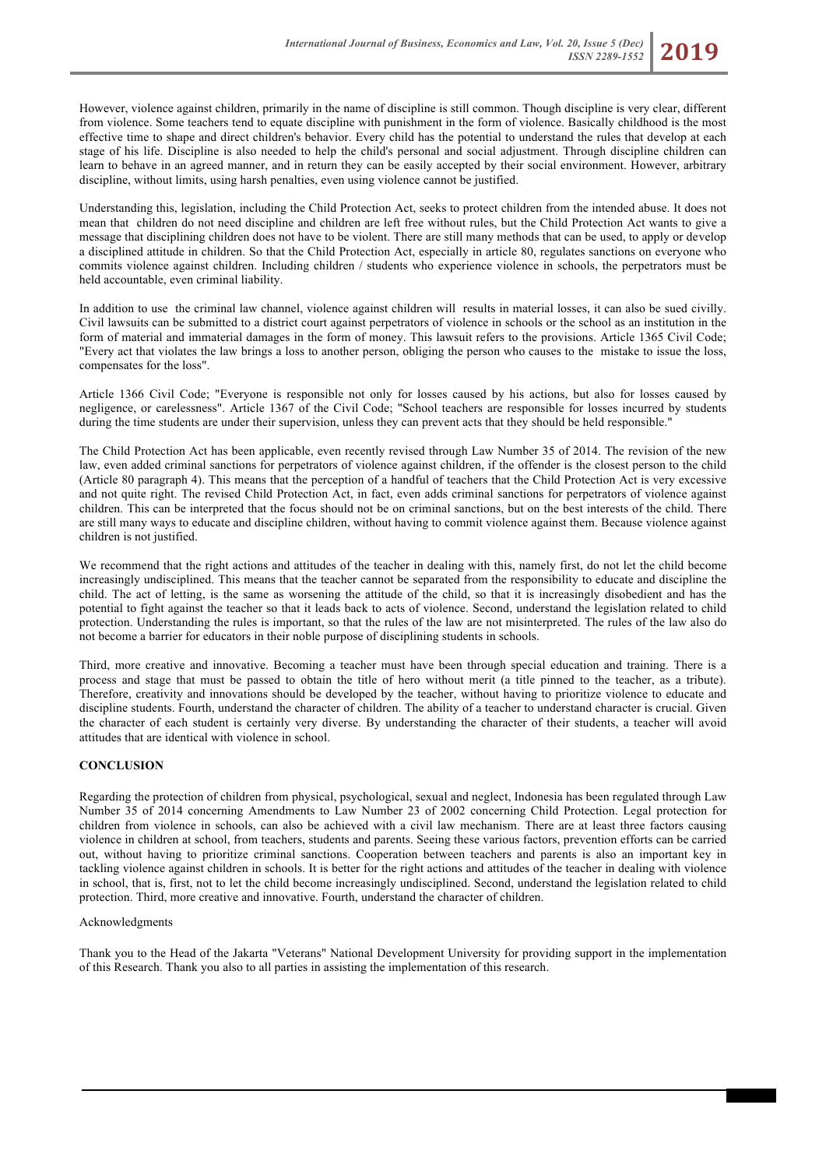However, violence against children, primarily in the name of discipline is still common. Though discipline is very clear, different from violence. Some teachers tend to equate discipline with punishment in the form of violence. Basically childhood is the most effective time to shape and direct children's behavior. Every child has the potential to understand the rules that develop at each stage of his life. Discipline is also needed to help the child's personal and social adjustment. Through discipline children can learn to behave in an agreed manner, and in return they can be easily accepted by their social environment. However, arbitrary discipline, without limits, using harsh penalties, even using violence cannot be justified.

Understanding this, legislation, including the Child Protection Act, seeks to protect children from the intended abuse. It does not mean that children do not need discipline and children are left free without rules, but the Child Protection Act wants to give a message that disciplining children does not have to be violent. There are still many methods that can be used, to apply or develop a disciplined attitude in children. So that the Child Protection Act, especially in article 80, regulates sanctions on everyone who commits violence against children. Including children / students who experience violence in schools, the perpetrators must be held accountable, even criminal liability.

In addition to use the criminal law channel, violence against children will results in material losses, it can also be sued civilly. Civil lawsuits can be submitted to a district court against perpetrators of violence in schools or the school as an institution in the form of material and immaterial damages in the form of money. This lawsuit refers to the provisions. Article 1365 Civil Code; "Every act that violates the law brings a loss to another person, obliging the person who causes to the mistake to issue the loss, compensates for the loss".

Article 1366 Civil Code; "Everyone is responsible not only for losses caused by his actions, but also for losses caused by negligence, or carelessness". Article 1367 of the Civil Code; "School teachers are responsible for losses incurred by students during the time students are under their supervision, unless they can prevent acts that they should be held responsible."

The Child Protection Act has been applicable, even recently revised through Law Number 35 of 2014. The revision of the new law, even added criminal sanctions for perpetrators of violence against children, if the offender is the closest person to the child (Article 80 paragraph 4). This means that the perception of a handful of teachers that the Child Protection Act is very excessive and not quite right. The revised Child Protection Act, in fact, even adds criminal sanctions for perpetrators of violence against children. This can be interpreted that the focus should not be on criminal sanctions, but on the best interests of the child. There are still many ways to educate and discipline children, without having to commit violence against them. Because violence against children is not justified.

We recommend that the right actions and attitudes of the teacher in dealing with this, namely first, do not let the child become increasingly undisciplined. This means that the teacher cannot be separated from the responsibility to educate and discipline the child. The act of letting, is the same as worsening the attitude of the child, so that it is increasingly disobedient and has the potential to fight against the teacher so that it leads back to acts of violence. Second, understand the legislation related to child protection. Understanding the rules is important, so that the rules of the law are not misinterpreted. The rules of the law also do not become a barrier for educators in their noble purpose of disciplining students in schools.

Third, more creative and innovative. Becoming a teacher must have been through special education and training. There is a process and stage that must be passed to obtain the title of hero without merit (a title pinned to the teacher, as a tribute). Therefore, creativity and innovations should be developed by the teacher, without having to prioritize violence to educate and discipline students. Fourth, understand the character of children. The ability of a teacher to understand character is crucial. Given the character of each student is certainly very diverse. By understanding the character of their students, a teacher will avoid attitudes that are identical with violence in school.

# **CONCLUSION**

Regarding the protection of children from physical, psychological, sexual and neglect, Indonesia has been regulated through Law Number 35 of 2014 concerning Amendments to Law Number 23 of 2002 concerning Child Protection. Legal protection for children from violence in schools, can also be achieved with a civil law mechanism. There are at least three factors causing violence in children at school, from teachers, students and parents. Seeing these various factors, prevention efforts can be carried out, without having to prioritize criminal sanctions. Cooperation between teachers and parents is also an important key in tackling violence against children in schools. It is better for the right actions and attitudes of the teacher in dealing with violence in school, that is, first, not to let the child become increasingly undisciplined. Second, understand the legislation related to child protection. Third, more creative and innovative. Fourth, understand the character of children.

#### Acknowledgments

Thank you to the Head of the Jakarta "Veterans" National Development University for providing support in the implementation of this Research. Thank you also to all parties in assisting the implementation of this research.